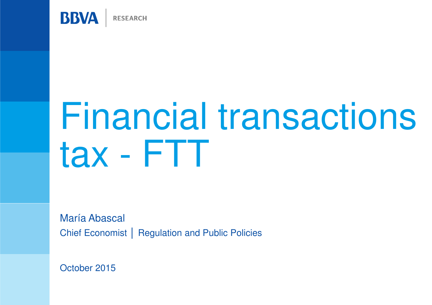

# Financial transactions tax - FTT

María Abascal Chief Economist │ Regulation and Public Policies

October 2015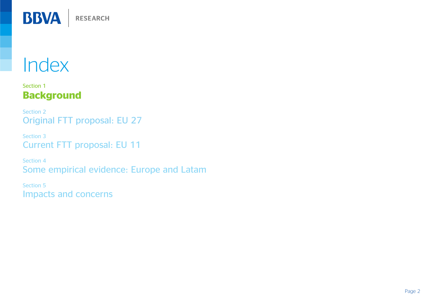

#### Section 1Background

Section 2Original FTT proposal: EU 27

Section 3Current FTT proposal: EU 11

Section 4Some empirical evidence: Europe and Latam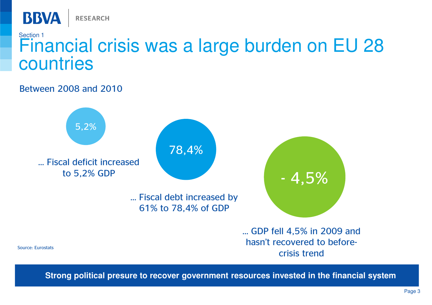

# Section 1 Financial crisis was a large burden on EU 28 countries

#### Between 2008 and 2010



**Strong political presure to recover government resources invested in the financial system**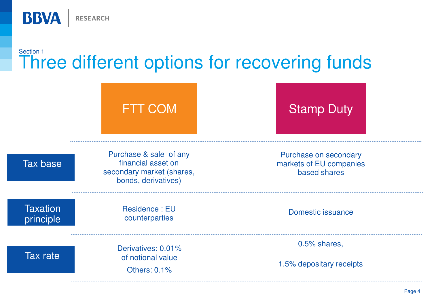

### Section 1Three different options for recovering funds

|                              | <b>FTT COM</b>                                                                                   | <b>Stamp Duty</b>                                                |
|------------------------------|--------------------------------------------------------------------------------------------------|------------------------------------------------------------------|
| <b>Tax base</b>              | Purchase & sale of any<br>financial asset on<br>secondary market (shares,<br>bonds, derivatives) | Purchase on secondary<br>markets of EU companies<br>based shares |
| <b>Taxation</b><br>principle | Residence: EU<br>counterparties                                                                  | <b>Domestic issuance</b>                                         |
| <b>Tax rate</b>              | Derivatives: 0.01%<br>of notional value<br><b>Others: 0.1%</b>                                   | 0.5% shares,<br>1.5% depositary receipts                         |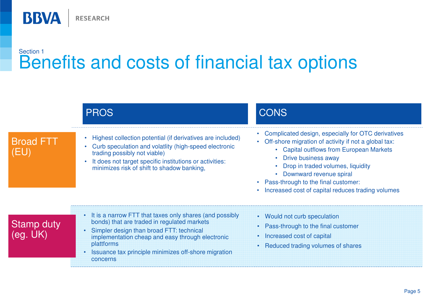**BBVA** RESEARCH

### Section 1Benefits and costs of financial tax options

|                         | <b>PROS</b>                                                                                                                                                                                                                                                                              | CONS                                                                                                                                                                                                                                                                                                                                            |  |
|-------------------------|------------------------------------------------------------------------------------------------------------------------------------------------------------------------------------------------------------------------------------------------------------------------------------------|-------------------------------------------------------------------------------------------------------------------------------------------------------------------------------------------------------------------------------------------------------------------------------------------------------------------------------------------------|--|
| <b>Broad FTT</b><br>(EU | Highest collection potential (if derivatives are included)<br>Curb speculation and volatiity (high-speed electronic<br>trading possibly not viable)<br>It does not target specific institutions or activities:<br>minimizes risk of shift to shadow banking,                             | Complicated design, especially for OTC derivatives<br>• Off-shore migration of activity if not a global tax:<br>• Capital outflows from European Markets<br>Drive business away<br>Drop in traded volumes, liquidity<br>• Downward revenue spiral<br>• Pass-through to the final customer:<br>Increased cost of capital reduces trading volumes |  |
| <b>Stamp duty</b>       | It is a narrow FTT that taxes only shares (and possibly<br>bonds) that are traded in regulated markets<br>Simpler design than broad FTT: technical<br>implementation cheap and easy through electronic<br>plattforms<br>Issuance tax principle minimizes off-shore migration<br>concerns | • Would not curb speculation<br>• Pass-through to the final customer<br>Increased cost of capital<br>Reduced trading volumes of shares                                                                                                                                                                                                          |  |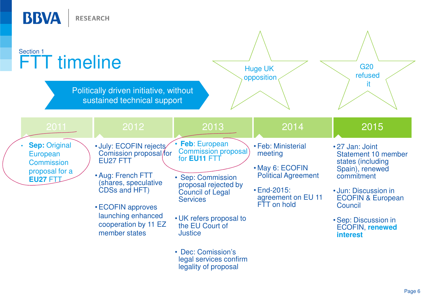| <b>BBVA</b>                                                                                | <b>RESEARCH</b>                                                                                                   |                                                                                         |                                                                                |                                                                                                    |
|--------------------------------------------------------------------------------------------|-------------------------------------------------------------------------------------------------------------------|-----------------------------------------------------------------------------------------|--------------------------------------------------------------------------------|----------------------------------------------------------------------------------------------------|
| Section 1<br><b>FTT</b> timeline                                                           | Politically driven initiative, without                                                                            |                                                                                         | <b>Huge UK</b><br>opposition                                                   | <b>G20</b><br>refused<br>it.                                                                       |
|                                                                                            | sustained technical support                                                                                       |                                                                                         |                                                                                |                                                                                                    |
| 2011                                                                                       | 2012                                                                                                              | 2013                                                                                    | 2014                                                                           | 2015                                                                                               |
| <b>Sep: Original</b><br>European<br><b>Commission</b><br>proposal for a<br><b>EU27 FTI</b> | · July: ECOFIN rejects/<br>Comission proposal/for<br><b>EU27 FTT</b><br>• Aug: French FTT<br>(shares, speculative | <b>Feb:</b> European<br><b>Commission proposal</b><br>for EU11 FTT<br>• Sep: Commission | · Feb: Ministerial<br>meeting<br>• May 6: ECOFIN<br><b>Political Agreement</b> | •27 Jan: Joint<br><b>Statement 10 member</b><br>states (including<br>Spain), renewed<br>commitment |
|                                                                                            | CDSs and HFT)<br>• ECOFIN approves                                                                                | proposal rejected by<br>Council of Legal<br><b>Services</b>                             | <b>• End-2015:</b><br>agreement on EU 11<br>FTT on hold                        | • Jun: Discussion in<br><b>ECOFIN &amp; European</b><br>Council                                    |
|                                                                                            | launching enhanced<br>cooperation by 11 EZ<br>member states                                                       | • UK refers proposal to<br>the EU Court of<br><b>Justice</b>                            |                                                                                | • Sep: Discussion in<br><b>ECOFIN, renewed</b><br><b>interest</b>                                  |
|                                                                                            |                                                                                                                   | • Dec: Comission's<br>legal services confirm<br>legality of proposal                    |                                                                                |                                                                                                    |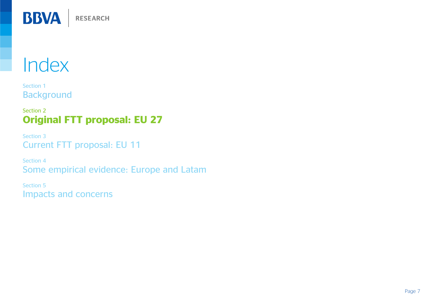

Section 1Background

#### Section 2Original FTT proposal: EU 27

Section 3Current FTT proposal: EU 11

Section 4Some empirical evidence: Europe and Latam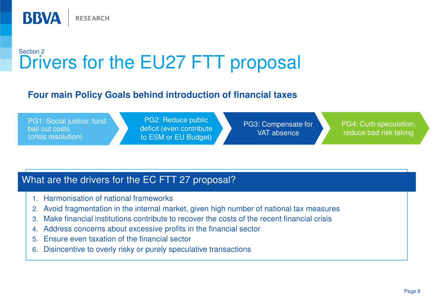

### Section 2Drivers for the EU27 FTT proposal

#### **Four main Policy Goals behind introduction of financial taxes**

PG1: Social justice: fund bail out costs(crisis resolution)

PG2: Reduce public deficit (even contribute to ESM or EU Budget)

PG3: Compensate for VAT absence

PG4: Curb speculation, reduce bad risk taking

#### What are the drivers for the EC FTT 27 proposal?

- 1. Harmonisation of national frameworks
- 2. Avoid fragmentation in the internal market, given high number of national tax measures
- 3.Make financial institutions contribute to recover the costs of the recent financial crisis
- 4. Address concerns about excessive profits in the financial sector
- 5. Ensure even taxation of the financial sector
- 6.Disincentive to overly risky or purely speculative transactions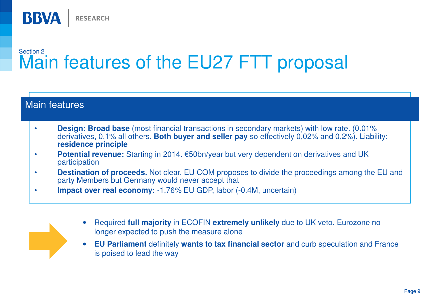

### Section 2Main features of the EU27 FTT proposal

| <b>Design: Broad base</b> (most financial transactions in secondary markets) with low rate. (0.01%<br>derivatives, 0.1% all others. Both buyer and seller pay so effectively $0,02\%$ and $0,2\%$ ). Liability:<br>residence principle |
|----------------------------------------------------------------------------------------------------------------------------------------------------------------------------------------------------------------------------------------|
| Potential revenue: Starting in 2014. €50bn/year but very dependent on derivatives and UK<br>participation                                                                                                                              |
| <b>Destination of proceeds.</b> Not clear. EU COM proposes to divide the proceedings among the EU and<br>party Members but Germany would never accept that                                                                             |
| <b>Impact over real economy: -1,76% EU GDP, labor (-0.4M, uncertain)</b>                                                                                                                                                               |



 $\bullet$  **EU Parliament** definitely **wants to tax financial sector** and curb speculation and France is poised to lead the way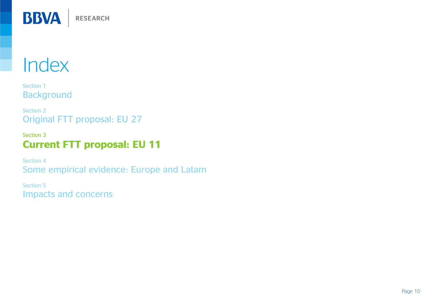

Section 1Background

Section 2Original FTT proposal: EU 27

#### Section 3Current FTT proposal: EU 11

Section 4Some empirical evidence: Europe and Latam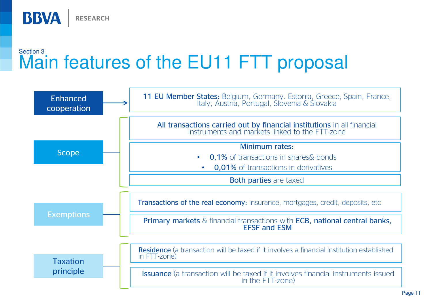

### Section 3Main features of the EU11 FTT proposal

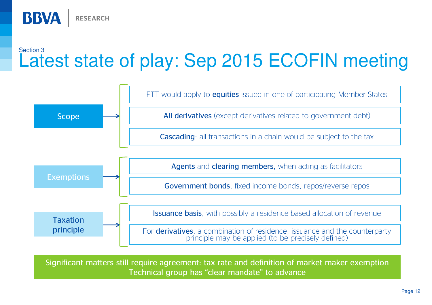**RESEARCH** 

BBVA

### Section 3Latest state of play: Sep 2015 ECOFIN meeting



Significant matters still require agreement: tax rate and definition of market maker exemptionTechnical group has "clear mandate" to advance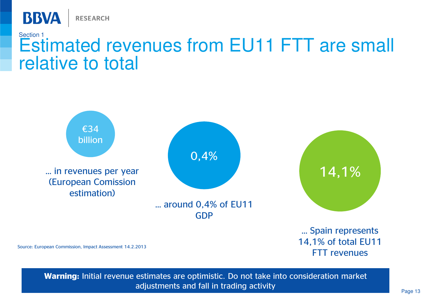

# Section 1 Estimated revenues from EU11 FTT are small relative to total



Source: European Commission, Impact Assessment 14.2.2013

FTT revenues

Warning: Initial revenue estimates are optimistic. Do not take into consideration market adjustments and fall in trading activity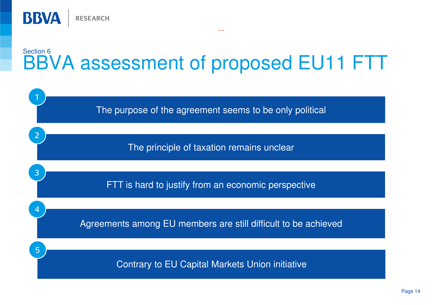

### Section 6BBVA assessment of proposed EU11 FTT

...

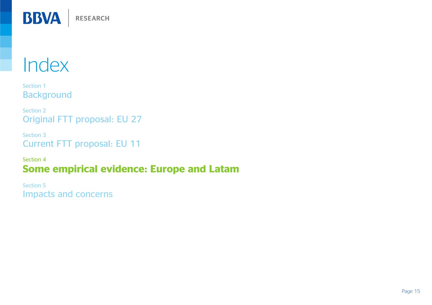![](_page_14_Picture_0.jpeg)

Section 1Background

Section 2Original FTT proposal: EU 27

Section 3Current FTT proposal: EU 11

Section 4Some empirical evidence: Europe and Latam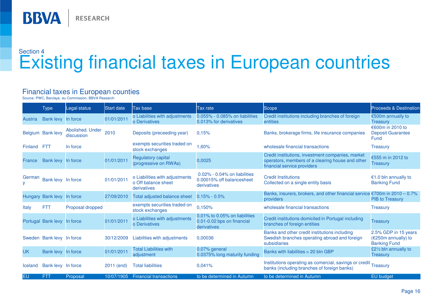![](_page_15_Picture_0.jpeg)

# Section 4Existing financial taxes in European countries

#### Financial taxes in European counties

Source: PWC, Barclays, eu Commission, BBVA Research

|                | <b>Type</b>                 | Legal status                   | <b>Start date</b> | Tax base                                                             | Tax rate                                                                   | Scope                                                                                                                                | <b>Proceeds &amp; Destination</b>                                  |
|----------------|-----------------------------|--------------------------------|-------------------|----------------------------------------------------------------------|----------------------------------------------------------------------------|--------------------------------------------------------------------------------------------------------------------------------------|--------------------------------------------------------------------|
| <b>Austria</b> | Bank levy In force          |                                | 01/01/2011        | o Liabilities with adjustments<br><b>o</b> Derivatives               | 0.055% - 0.085% on liabilities<br>0.013% for derivatives                   | Credit institutions including branches of foreign<br><b>entities</b>                                                                 | €500m annually to<br><b>Treasury</b>                               |
|                | Belgium Bank levy           | Abolished. Under<br>discussion | 2010              | Deposits (preceeding year)                                           | 0.15%                                                                      | Banks, brokerage firms, life insurance companies                                                                                     | €600m in 2010 to<br><b>Deposit Guarantee</b><br>Fund               |
| Finland        | <b>FTT</b>                  | In force                       |                   | exempts securities traded on<br>stock exchanges                      | 1,60%                                                                      | wholesale financial transactions                                                                                                     | <b>Treasury</b>                                                    |
| France         | Bank levy In force          |                                | 01/01/2011        | <b>Regulatory capital</b><br>(progressive on RWAs)                   | 0,0025                                                                     | Credit institutions, investment companies, market<br>operators, members of a clearing house and other<br>financial service providers | €555 m in 2012 to<br>Treasury                                      |
| German         | Bank levy In force          |                                | 01/01/2011        | o Liabilities with adjustments<br>o Off balance sheet<br>derivatives | 0.02% - 0.04% on liabilities<br>0.00015% off balancesheet<br>derivatives   | <b>Credit Institutions</b><br>Collected on a single entity basis                                                                     | €1.0 bln annually to<br><b>Banking Fund</b>                        |
|                | Hungary Bank levy In force  |                                | 27/09/2010        | Total adjusted balance sheet                                         | $0.15\% - 0.5\%$                                                           | Banks, insurers, brokers, and other financial service $\epsilon$ 700m in 2010 – 0.7%<br>providers                                    | <b>PIB to Treasury</b>                                             |
| Italy          | <b>FTT</b>                  | Proposal dropped               |                   | exempts securities traded on<br>stock exchanges                      | 0,150%                                                                     | wholesale financial transactions                                                                                                     | <b>Treasury</b>                                                    |
|                | Portugal Bank levy In force |                                | 01/01/2011        | o Liabilities with adjustments<br><b>o</b> Derivatives               | 0.01% to 0.05% on liabilities<br>0.01-0.02 bps on financial<br>derivatives | Credit institutions domiciled in Portugal including<br>branches of foreign entities                                                  | Treasury                                                           |
|                | Sweden Bank levy In force   |                                | 30/12/2009        | Liabilities with adjustments                                         | 0,00036                                                                    | Banks and other credit institutions including<br>Swedish branches operating abroad and foreign<br>subsidiaries                       | 2.5% GDP in 15 years<br>(€250m annually) to<br><b>Banking Fund</b> |
| <b>UK</b>      | Bank levy In force          |                                | 01/01/2011        | <b>Total Liabilities with</b><br>adjustment                          | 0.07% general<br>0.0375% long maturity funding                             | Banks with liabilities > 20 bln GBP                                                                                                  | £21/2 bln annually to<br><b>Treasury</b>                           |
| Iceland        | Bank levy In force          |                                | 2011 (end)        | <b>Total liabilities</b>                                             | 0.041%                                                                     | Institutions operating as comercial, savings or credit<br>banks (including branches of foreign banks)                                | Treasury                                                           |
| <b>EU</b>      | <b>FTT</b>                  | Proposal                       | 10/07/1905        | <b>Financial transactions</b>                                        | to be determined in Autumn                                                 | to be determined in Autumn                                                                                                           | EU budget                                                          |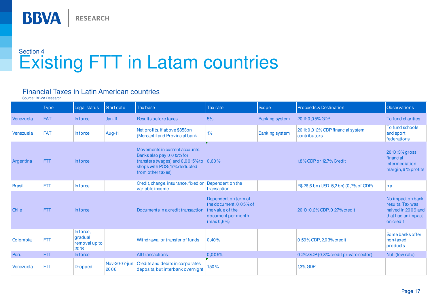![](_page_16_Picture_0.jpeg)

# Section 4Existing FTT in Latam countries

#### Financial Taxes in Latin American countries

Source: BBVA Research

|               | <b>Type</b> | Legal status                                 | Start date           | <b>Tax base</b>                                                                                                                                                 | <b>Tax rate</b>                                                                    | Scope                 | Proceeds & Destination                           | <b>Observations</b>                                                                            |
|---------------|-------------|----------------------------------------------|----------------------|-----------------------------------------------------------------------------------------------------------------------------------------------------------------|------------------------------------------------------------------------------------|-----------------------|--------------------------------------------------|------------------------------------------------------------------------------------------------|
| Venezuela     | <b>FAT</b>  | In force                                     | $Jan-11$             | Results before taxes                                                                                                                                            | 5%                                                                                 | <b>Banking system</b> | 20 11: 0, 0 5% GDP                               | To fund charities                                                                              |
| Venezuela     | FAT         | In force                                     | Aug-11               | Net profits, if above \$353bn<br>(Mercantil and Provincial bank)                                                                                                | $1\%$                                                                              | <b>Banking system</b> | 2011:0,012% GDP financial system<br>contributors | To fund schools<br>and sport<br>federations                                                    |
| Argentina     | <b>FTT</b>  | In force                                     |                      | Movements in current accounts.<br>Banks also pay 0,0 12% for<br>transfers (wages) and $0,0015%$ to $0,60%$<br>shops with POS (17% deducted<br>from other taxes) |                                                                                    |                       | 1,8% GDP or 12,7% Credit                         | 2010:3% gross<br>financial<br>intermediation<br>margin, 6 % profits                            |
| <b>Brasil</b> | <b>FTT</b>  | In force                                     |                      | Credit, change, insurance, fixed or<br>variable income                                                                                                          | Dependent on the<br>transaction                                                    |                       | R\$ 26,6 bn (USD 15,2 bn) (0,7% of GDP)          | n.a.                                                                                           |
| Chile         | <b>FTT</b>  | In force                                     |                      | Documents in a credit transaction the value of the                                                                                                              | Dependent on term of<br>the document, 0,05% of<br>document per month<br>(max 0,6%) |                       | 20 10 : 0,2% GDP, 0.27% credit                   | No impact on bank<br>results. Tax was<br>halved in 2009 and<br>that had an impact<br>on credit |
| Colombia      | <b>FTT</b>  | Inforce,<br>gradual<br>removal up to<br>2018 |                      | Withdrawal or transfer of funds                                                                                                                                 | 0.40%                                                                              |                       | 0,59% GDP, 2,03% credit                          | Some banks offer<br>non-taxed<br>products                                                      |
| Peru          | <b>FTT</b>  | In force                                     |                      | All transactions                                                                                                                                                | 0,005%                                                                             |                       | 0,2% GDP (0,8% credit private sector)            | Null (low rate)                                                                                |
| Venezuela     | <b>FTT</b>  | <b>Dropped</b>                               | Nov-2007-jun<br>2008 | Credits and debits in corporates'<br>deposits, but interbank overnight                                                                                          | 1,50%                                                                              |                       | 1.3% GDP                                         |                                                                                                |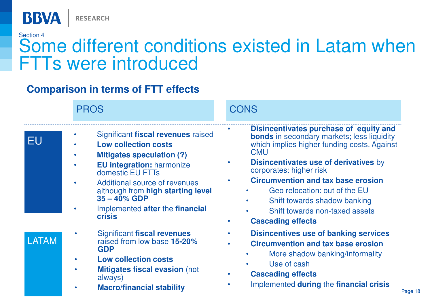![](_page_17_Picture_0.jpeg)

# Section 4Some different conditions existed in Latam when FTTs were introduced

#### **Comparison in terms of FTT effects**

|       | <b>PROS</b>                                                                                                                                                                                                                                                                                                | <b>CONS</b>                                                                                                                                                                                                                                                                                                                                                                                                     |
|-------|------------------------------------------------------------------------------------------------------------------------------------------------------------------------------------------------------------------------------------------------------------------------------------------------------------|-----------------------------------------------------------------------------------------------------------------------------------------------------------------------------------------------------------------------------------------------------------------------------------------------------------------------------------------------------------------------------------------------------------------|
| EU    | Significant fiscal revenues raised<br><b>Low collection costs</b><br><b>Mitigates speculation (?)</b><br><b>EU integration: harmonize</b><br>domestic EU FTTs<br>Additional source of revenues<br>although from high starting level<br>$35 - 40\%$ GDP<br>Implemented after the financial<br><b>crisis</b> | Disincentivates purchase of equity and<br><b>bonds</b> in secondary markets; less liquidity<br>which implies higher funding costs. Against<br><b>CMU</b><br><b>Disincentivates use of derivatives by</b><br>corporates: higher risk<br><b>Circumvention and tax base erosion</b><br>Geo relocation: out of the EU<br>Shift towards shadow banking<br>Shift towards non-taxed assets<br><b>Cascading effects</b> |
| LATAM | Significant fiscal revenues<br>raised from low base 15-20%<br><b>GDP</b><br><b>Low collection costs</b><br><b>Mitigates fiscal evasion (not</b><br>always)<br><b>Macro/financial stability</b>                                                                                                             | <b>Disincentives use of banking services</b><br><b>Circumvention and tax base erosion</b><br>More shadow banking/informality<br>Use of cash<br><b>Cascading effects</b><br>Implemented during the financial crisis<br>Page 18                                                                                                                                                                                   |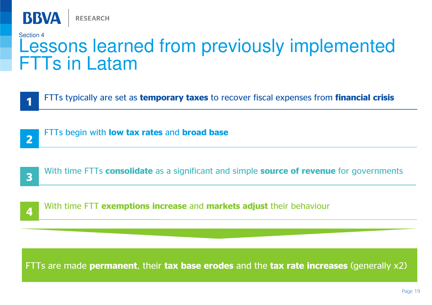![](_page_18_Picture_0.jpeg)

#### Section 4

# Lessons learned from previously implemented FTTs in Latam

FTTs typically are set as temporary taxes to recover fiscal expenses from financial crisis

FTTs begin with **low tax rates** and **broad base** 

![](_page_18_Picture_6.jpeg)

![](_page_18_Picture_7.jpeg)

With time FTT exemptions increase and markets adjust their behaviour 4 **Example of the complete the case** and **markets adjust** their senation

FTTs are made permanent, their tax base erodes and the tax rate increases (generally x2)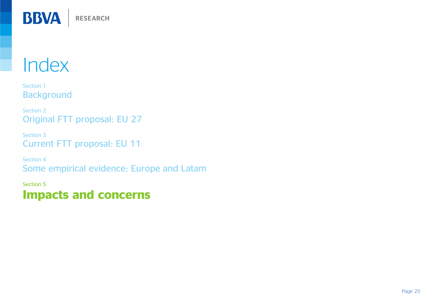![](_page_19_Picture_0.jpeg)

Section 1Background

Section 2Original FTT proposal: EU 27

Section 3Current FTT proposal: EU 11

Section 4Some empirical evidence: Europe and Latam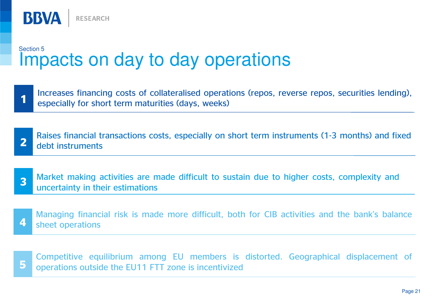![](_page_20_Picture_0.jpeg)

# Section 5Impacts on day to day operations

- 1Increases financing costs of collateralised operations (repos, reverse repos, securities lending), especially for short term maturities (days, weeks)
- 2Raises financial transactions costs, especially on short term instruments (1-3 months) and fixed debt instruments
- 3Market making activities are made difficult to sustain due to higher costs, complexity and uncertainty in their estimations
- 4Managing financial risk is made more difficult, both for CIB activities and the bank's balance sheet operations

![](_page_20_Picture_6.jpeg)

Competitive equilibrium among EU members is distorted. Geographical displacement of operations outside the EU11 FTT zone is incentivized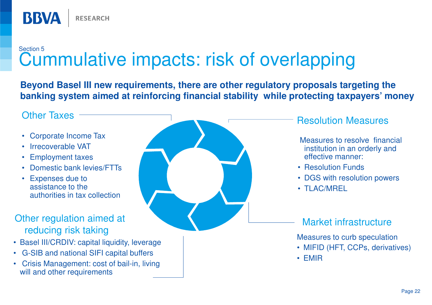# Section 5Cummulative impacts: risk of overlapping

**Beyond Basel III new requirements, there are other regulatory proposals targeting the banking system aimed at reinforcing financial stability while protecting taxpayers' money**

#### Other Taxes

**BBVA** 

- Corporate Income Tax
- •Irrecoverable VAT
- Employment taxes•
- Domestic bank levies/FTTs•
- Expenses due to assistance to the authorities in tax collection

#### Other regulation aimed at reducing risk taking

• Basel III/CRDIV: capital liquidity, leverage

**RESEARCH** 

- G-SIB and national SIFI capital buffers
- Crisis Management: cost of bail-in, living will and other requirements

![](_page_21_Picture_12.jpeg)

#### Resolution Measures

Measures to resolve financial institution in an orderly and effective manner:

- Resolution Funds
- DGS with resolution powers
- TLAC/MREL

#### Market infrastructure

Measures to curb speculation

- MIFID (HFT, CCPs, derivatives)
- EMIR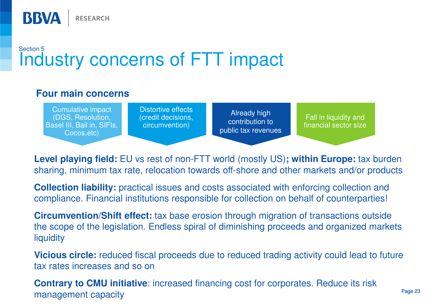![](_page_22_Picture_0.jpeg)

#### **Four main concerns**

**RESEARCH** 

**BBVA** 

Cumulative impact (DGS, Resolution, Basel III, Bail in, SIFIs, Cocos,etc)

Distortive effects (credit decisions, circumvention)

Already high contribution to public tax revenues

Fall in liquidity and financial sector size

**Level playing field:** EU vs rest of non-FTT world (mostly US)**; within Europe:** tax burden sharing, minimum tax rate, relocation towards off-shore and other markets and/or products

**Collection liability:** practical issues and costs associated with enforcing collection and compliance. Financial institutions responsible for collection on behalf of counterparties!

**Circumvention/Shift effect:** tax base erosion through migration of transactions outside the scope of the legislation. Endless spiral of diminishing proceeds and organized markets liquidity

**Vicious circle:** reduced fiscal proceeds due to reduced trading activity could lead to future tax rates increases and so on

**Contrary to CMU initiative**: increased financing cost for corporates. Reduce its riskmanagement capacity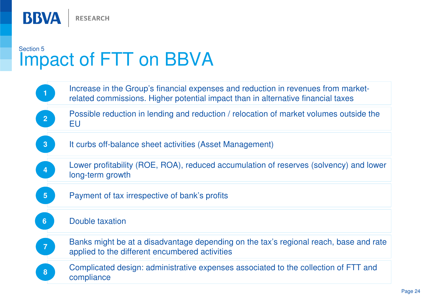![](_page_23_Picture_0.jpeg)

# Section 5Impact of FTT on BBVA

![](_page_23_Figure_2.jpeg)